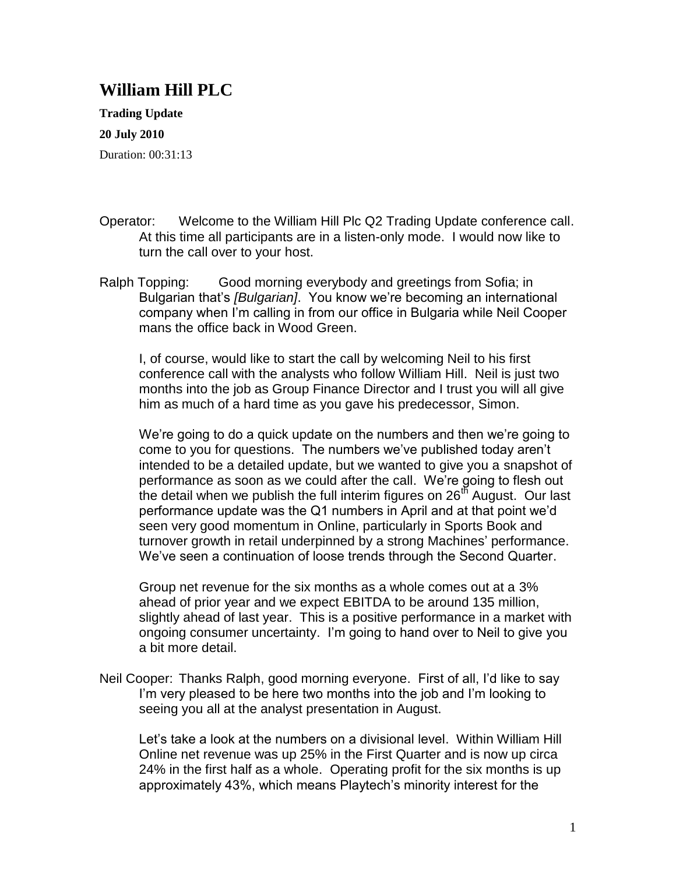## **William Hill PLC**

**Trading Update 20 July 2010** Duration: 00:31:13

- Operator: Welcome to the William Hill Plc Q2 Trading Update conference call. At this time all participants are in a listen-only mode. I would now like to turn the call over to your host.
- Ralph Topping: Good morning everybody and greetings from Sofia; in Bulgarian that's *[Bulgarian]*. You know we're becoming an international company when I'm calling in from our office in Bulgaria while Neil Cooper mans the office back in Wood Green.

I, of course, would like to start the call by welcoming Neil to his first conference call with the analysts who follow William Hill. Neil is just two months into the job as Group Finance Director and I trust you will all give him as much of a hard time as you gave his predecessor, Simon.

We're going to do a quick update on the numbers and then we're going to come to you for questions. The numbers we've published today aren't intended to be a detailed update, but we wanted to give you a snapshot of performance as soon as we could after the call. We're going to flesh out the detail when we publish the full interim figures on  $26<sup>th</sup>$  August. Our last performance update was the Q1 numbers in April and at that point we'd seen very good momentum in Online, particularly in Sports Book and turnover growth in retail underpinned by a strong Machines' performance. We've seen a continuation of loose trends through the Second Quarter.

Group net revenue for the six months as a whole comes out at a 3% ahead of prior year and we expect EBITDA to be around 135 million, slightly ahead of last year. This is a positive performance in a market with ongoing consumer uncertainty. I'm going to hand over to Neil to give you a bit more detail.

Neil Cooper: Thanks Ralph, good morning everyone. First of all, I'd like to say I'm very pleased to be here two months into the job and I'm looking to seeing you all at the analyst presentation in August.

Let's take a look at the numbers on a divisional level. Within William Hill Online net revenue was up 25% in the First Quarter and is now up circa 24% in the first half as a whole. Operating profit for the six months is up approximately 43%, which means Playtech's minority interest for the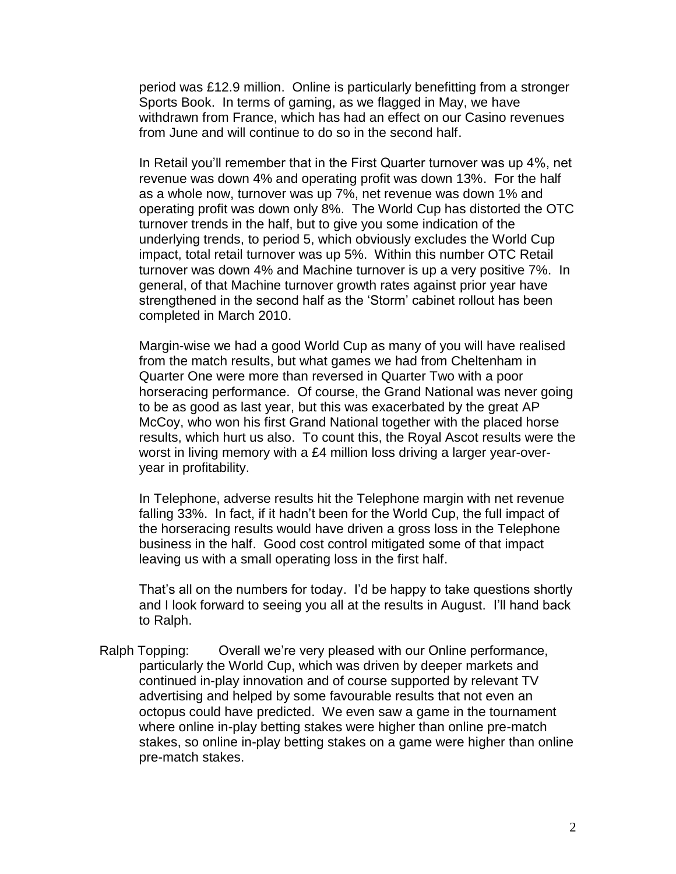period was £12.9 million. Online is particularly benefitting from a stronger Sports Book. In terms of gaming, as we flagged in May, we have withdrawn from France, which has had an effect on our Casino revenues from June and will continue to do so in the second half.

In Retail you'll remember that in the First Quarter turnover was up 4%, net revenue was down 4% and operating profit was down 13%. For the half as a whole now, turnover was up 7%, net revenue was down 1% and operating profit was down only 8%. The World Cup has distorted the OTC turnover trends in the half, but to give you some indication of the underlying trends, to period 5, which obviously excludes the World Cup impact, total retail turnover was up 5%. Within this number OTC Retail turnover was down 4% and Machine turnover is up a very positive 7%. In general, of that Machine turnover growth rates against prior year have strengthened in the second half as the 'Storm' cabinet rollout has been completed in March 2010.

Margin-wise we had a good World Cup as many of you will have realised from the match results, but what games we had from Cheltenham in Quarter One were more than reversed in Quarter Two with a poor horseracing performance. Of course, the Grand National was never going to be as good as last year, but this was exacerbated by the great AP McCoy, who won his first Grand National together with the placed horse results, which hurt us also. To count this, the Royal Ascot results were the worst in living memory with a £4 million loss driving a larger year-overyear in profitability.

In Telephone, adverse results hit the Telephone margin with net revenue falling 33%. In fact, if it hadn't been for the World Cup, the full impact of the horseracing results would have driven a gross loss in the Telephone business in the half. Good cost control mitigated some of that impact leaving us with a small operating loss in the first half.

That's all on the numbers for today. I'd be happy to take questions shortly and I look forward to seeing you all at the results in August. I'll hand back to Ralph.

Ralph Topping: Overall we're very pleased with our Online performance, particularly the World Cup, which was driven by deeper markets and continued in-play innovation and of course supported by relevant TV advertising and helped by some favourable results that not even an octopus could have predicted. We even saw a game in the tournament where online in-play betting stakes were higher than online pre-match stakes, so online in-play betting stakes on a game were higher than online pre-match stakes.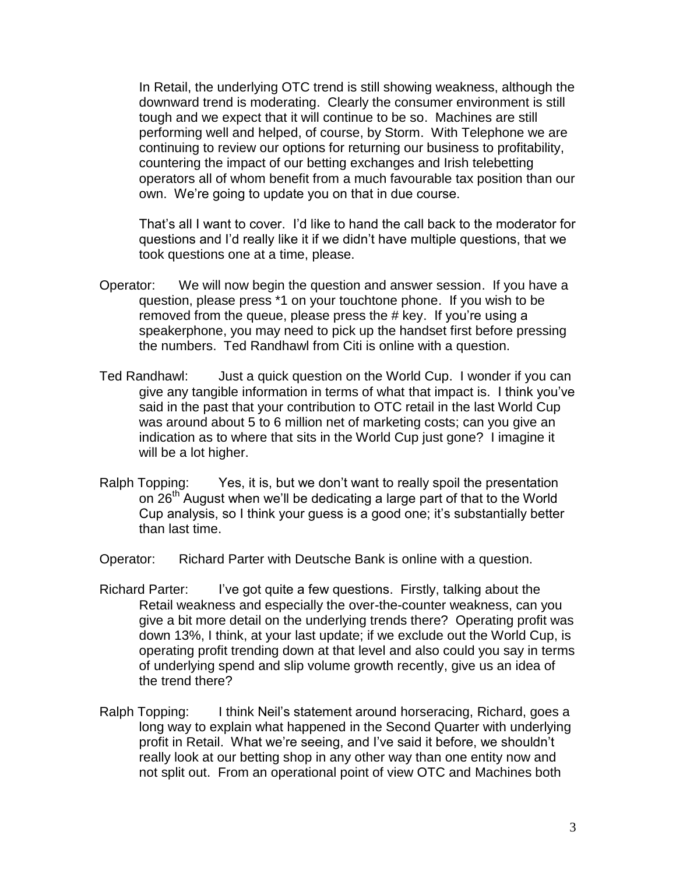In Retail, the underlying OTC trend is still showing weakness, although the downward trend is moderating. Clearly the consumer environment is still tough and we expect that it will continue to be so. Machines are still performing well and helped, of course, by Storm. With Telephone we are continuing to review our options for returning our business to profitability, countering the impact of our betting exchanges and Irish telebetting operators all of whom benefit from a much favourable tax position than our own. We're going to update you on that in due course.

That's all I want to cover. I'd like to hand the call back to the moderator for questions and I'd really like it if we didn't have multiple questions, that we took questions one at a time, please.

- Operator: We will now begin the question and answer session. If you have a question, please press \*1 on your touchtone phone. If you wish to be removed from the queue, please press the # key. If you're using a speakerphone, you may need to pick up the handset first before pressing the numbers. Ted Randhawl from Citi is online with a question.
- Ted Randhawl: Just a quick question on the World Cup. I wonder if you can give any tangible information in terms of what that impact is. I think you've said in the past that your contribution to OTC retail in the last World Cup was around about 5 to 6 million net of marketing costs; can you give an indication as to where that sits in the World Cup just gone? I imagine it will be a lot higher.
- Ralph Topping: Yes, it is, but we don't want to really spoil the presentation on 26<sup>th</sup> August when we'll be dedicating a large part of that to the World Cup analysis, so I think your guess is a good one; it's substantially better than last time.
- Operator: Richard Parter with Deutsche Bank is online with a question.
- Richard Parter: I've got quite a few questions. Firstly, talking about the Retail weakness and especially the over-the-counter weakness, can you give a bit more detail on the underlying trends there? Operating profit was down 13%, I think, at your last update; if we exclude out the World Cup, is operating profit trending down at that level and also could you say in terms of underlying spend and slip volume growth recently, give us an idea of the trend there?
- Ralph Topping: I think Neil's statement around horseracing, Richard, goes a long way to explain what happened in the Second Quarter with underlying profit in Retail. What we're seeing, and I've said it before, we shouldn't really look at our betting shop in any other way than one entity now and not split out. From an operational point of view OTC and Machines both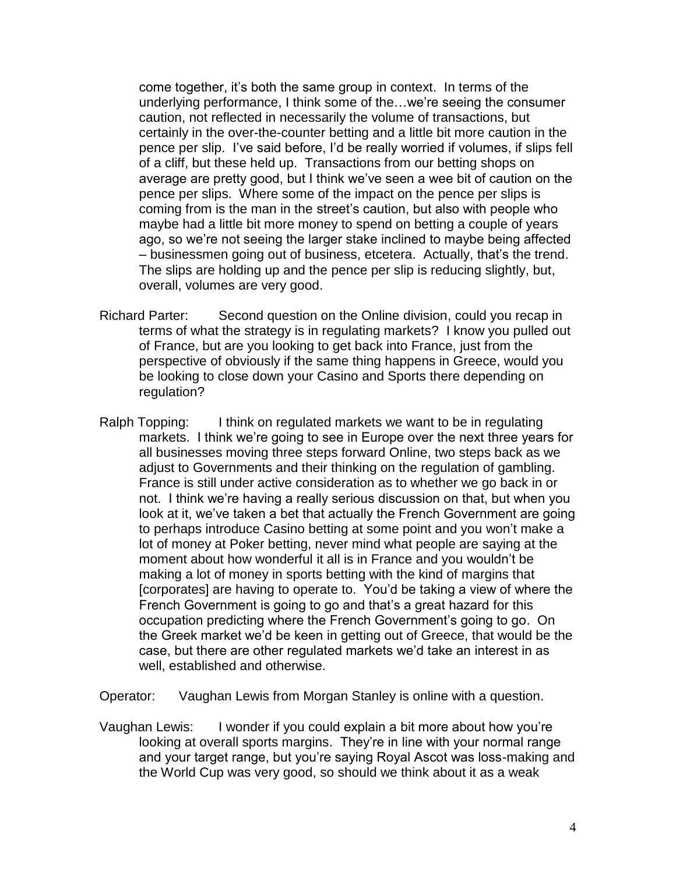come together, it's both the same group in context. In terms of the underlying performance, I think some of the…we're seeing the consumer caution, not reflected in necessarily the volume of transactions, but certainly in the over-the-counter betting and a little bit more caution in the pence per slip. I've said before, I'd be really worried if volumes, if slips fell of a cliff, but these held up. Transactions from our betting shops on average are pretty good, but I think we've seen a wee bit of caution on the pence per slips. Where some of the impact on the pence per slips is coming from is the man in the street's caution, but also with people who maybe had a little bit more money to spend on betting a couple of years ago, so we're not seeing the larger stake inclined to maybe being affected – businessmen going out of business, etcetera. Actually, that's the trend. The slips are holding up and the pence per slip is reducing slightly, but, overall, volumes are very good.

- Richard Parter: Second question on the Online division, could you recap in terms of what the strategy is in regulating markets? I know you pulled out of France, but are you looking to get back into France, just from the perspective of obviously if the same thing happens in Greece, would you be looking to close down your Casino and Sports there depending on regulation?
- Ralph Topping: I think on regulated markets we want to be in regulating markets. I think we're going to see in Europe over the next three years for all businesses moving three steps forward Online, two steps back as we adjust to Governments and their thinking on the regulation of gambling. France is still under active consideration as to whether we go back in or not. I think we're having a really serious discussion on that, but when you look at it, we've taken a bet that actually the French Government are going to perhaps introduce Casino betting at some point and you won't make a lot of money at Poker betting, never mind what people are saying at the moment about how wonderful it all is in France and you wouldn't be making a lot of money in sports betting with the kind of margins that [corporates] are having to operate to. You'd be taking a view of where the French Government is going to go and that's a great hazard for this occupation predicting where the French Government's going to go. On the Greek market we'd be keen in getting out of Greece, that would be the case, but there are other regulated markets we'd take an interest in as well, established and otherwise.

Operator: Vaughan Lewis from Morgan Stanley is online with a question.

Vaughan Lewis: I wonder if you could explain a bit more about how you're looking at overall sports margins. They're in line with your normal range and your target range, but you're saying Royal Ascot was loss-making and the World Cup was very good, so should we think about it as a weak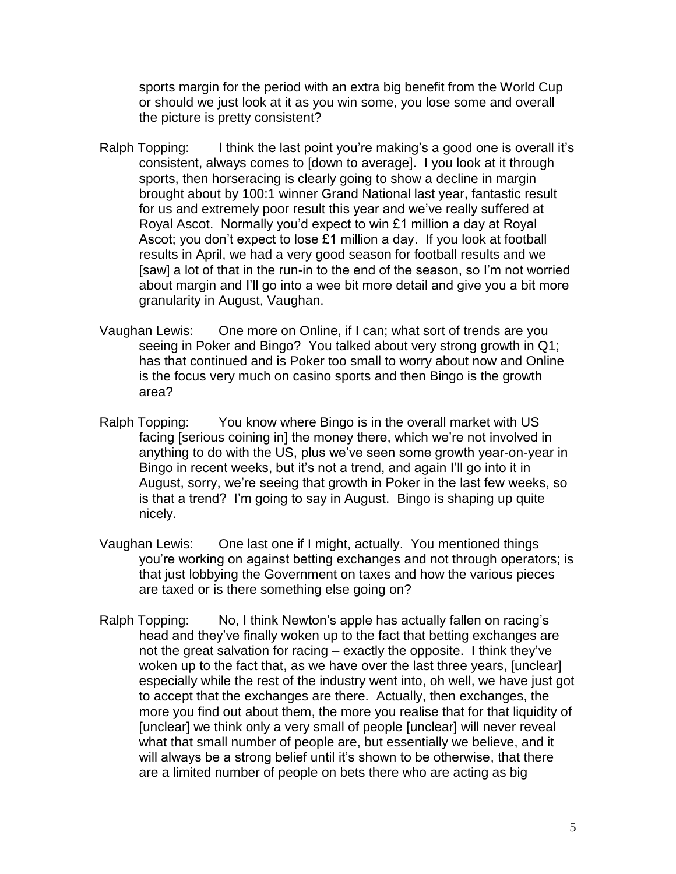sports margin for the period with an extra big benefit from the World Cup or should we just look at it as you win some, you lose some and overall the picture is pretty consistent?

- Ralph Topping: I think the last point you're making's a good one is overall it's consistent, always comes to [down to average]. I you look at it through sports, then horseracing is clearly going to show a decline in margin brought about by 100:1 winner Grand National last year, fantastic result for us and extremely poor result this year and we've really suffered at Royal Ascot. Normally you'd expect to win £1 million a day at Royal Ascot; you don't expect to lose £1 million a day. If you look at football results in April, we had a very good season for football results and we [saw] a lot of that in the run-in to the end of the season, so I'm not worried about margin and I'll go into a wee bit more detail and give you a bit more granularity in August, Vaughan.
- Vaughan Lewis: One more on Online, if I can; what sort of trends are you seeing in Poker and Bingo? You talked about very strong growth in Q1; has that continued and is Poker too small to worry about now and Online is the focus very much on casino sports and then Bingo is the growth area?
- Ralph Topping: You know where Bingo is in the overall market with US facing [serious coining in] the money there, which we're not involved in anything to do with the US, plus we've seen some growth year-on-year in Bingo in recent weeks, but it's not a trend, and again I'll go into it in August, sorry, we're seeing that growth in Poker in the last few weeks, so is that a trend? I'm going to say in August. Bingo is shaping up quite nicely.
- Vaughan Lewis: One last one if I might, actually. You mentioned things you're working on against betting exchanges and not through operators; is that just lobbying the Government on taxes and how the various pieces are taxed or is there something else going on?
- Ralph Topping: No, I think Newton's apple has actually fallen on racing's head and they've finally woken up to the fact that betting exchanges are not the great salvation for racing – exactly the opposite. I think they've woken up to the fact that, as we have over the last three years, [unclear] especially while the rest of the industry went into, oh well, we have just got to accept that the exchanges are there. Actually, then exchanges, the more you find out about them, the more you realise that for that liquidity of [unclear] we think only a very small of people [unclear] will never reveal what that small number of people are, but essentially we believe, and it will always be a strong belief until it's shown to be otherwise, that there are a limited number of people on bets there who are acting as big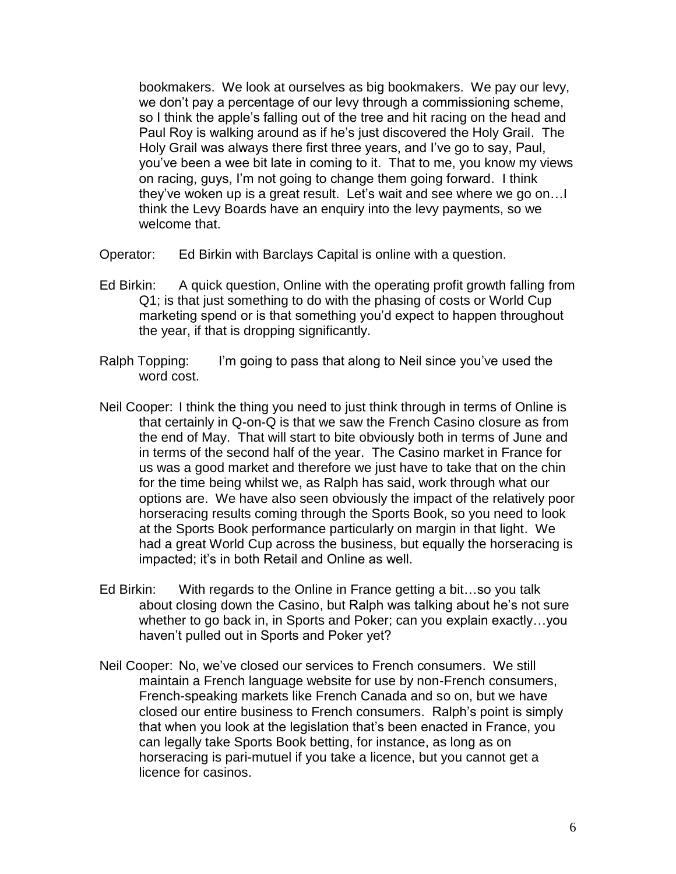bookmakers. We look at ourselves as big bookmakers. We pay our levy, we don't pay a percentage of our levy through a commissioning scheme, so I think the apple's falling out of the tree and hit racing on the head and Paul Roy is walking around as if he's just discovered the Holy Grail. The Holy Grail was always there first three years, and I've go to say, Paul, you've been a wee bit late in coming to it. That to me, you know my views on racing, guys, I'm not going to change them going forward. I think they've woken up is a great result. Let's wait and see where we go on…I think the Levy Boards have an enquiry into the levy payments, so we welcome that.

- Operator: Ed Birkin with Barclays Capital is online with a question.
- Ed Birkin: A quick question, Online with the operating profit growth falling from Q1; is that just something to do with the phasing of costs or World Cup marketing spend or is that something you'd expect to happen throughout the year, if that is dropping significantly.
- Ralph Topping: I'm going to pass that along to Neil since you've used the word cost.
- Neil Cooper: I think the thing you need to just think through in terms of Online is that certainly in Q-on-Q is that we saw the French Casino closure as from the end of May. That will start to bite obviously both in terms of June and in terms of the second half of the year. The Casino market in France for us was a good market and therefore we just have to take that on the chin for the time being whilst we, as Ralph has said, work through what our options are. We have also seen obviously the impact of the relatively poor horseracing results coming through the Sports Book, so you need to look at the Sports Book performance particularly on margin in that light. We had a great World Cup across the business, but equally the horseracing is impacted; it's in both Retail and Online as well.
- Ed Birkin: With regards to the Online in France getting a bit…so you talk about closing down the Casino, but Ralph was talking about he's not sure whether to go back in, in Sports and Poker; can you explain exactly…you haven't pulled out in Sports and Poker yet?
- Neil Cooper: No, we've closed our services to French consumers. We still maintain a French language website for use by non-French consumers, French-speaking markets like French Canada and so on, but we have closed our entire business to French consumers. Ralph's point is simply that when you look at the legislation that's been enacted in France, you can legally take Sports Book betting, for instance, as long as on horseracing is pari-mutuel if you take a licence, but you cannot get a licence for casinos.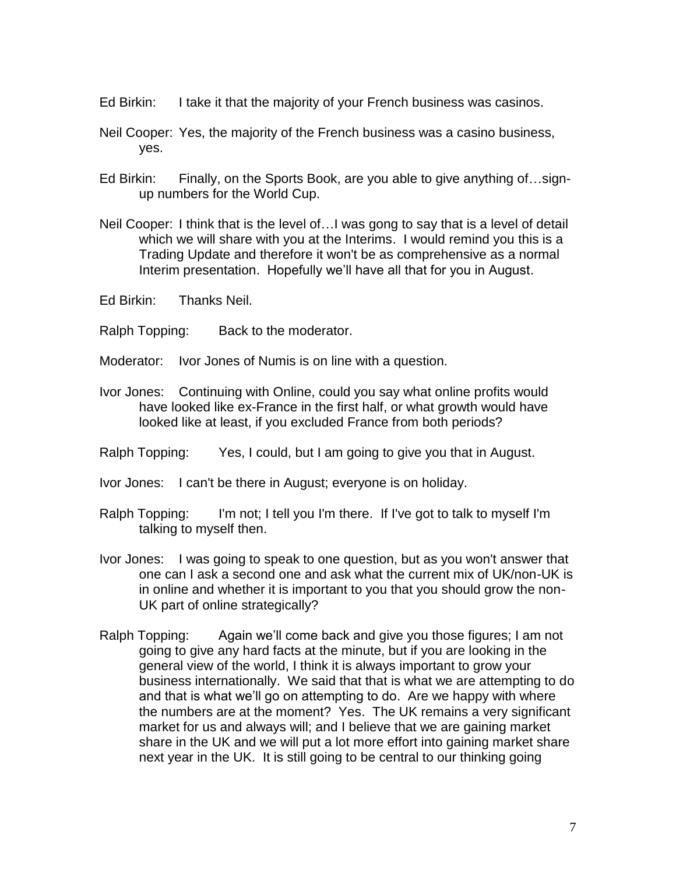- Ed Birkin: I take it that the majority of your French business was casinos.
- Neil Cooper: Yes, the majority of the French business was a casino business, yes.
- Ed Birkin: Finally, on the Sports Book, are you able to give anything of…signup numbers for the World Cup.
- Neil Cooper: I think that is the level of…I was gong to say that is a level of detail which we will share with you at the Interims. I would remind you this is a Trading Update and therefore it won't be as comprehensive as a normal Interim presentation. Hopefully we'll have all that for you in August.
- Ed Birkin: Thanks Neil.
- Ralph Topping: Back to the moderator.
- Moderator: Ivor Jones of Numis is on line with a question.
- Ivor Jones: Continuing with Online, could you say what online profits would have looked like ex-France in the first half, or what growth would have looked like at least, if you excluded France from both periods?
- Ralph Topping: Yes, I could, but I am going to give you that in August.
- Ivor Jones: I can't be there in August; everyone is on holiday.
- Ralph Topping: I'm not; I tell you I'm there. If I've got to talk to myself I'm talking to myself then.
- Ivor Jones: I was going to speak to one question, but as you won't answer that one can I ask a second one and ask what the current mix of UK/non-UK is in online and whether it is important to you that you should grow the non-UK part of online strategically?
- Ralph Topping: Again we'll come back and give you those figures; I am not going to give any hard facts at the minute, but if you are looking in the general view of the world, I think it is always important to grow your business internationally. We said that that is what we are attempting to do and that is what we'll go on attempting to do. Are we happy with where the numbers are at the moment? Yes. The UK remains a very significant market for us and always will; and I believe that we are gaining market share in the UK and we will put a lot more effort into gaining market share next year in the UK. It is still going to be central to our thinking going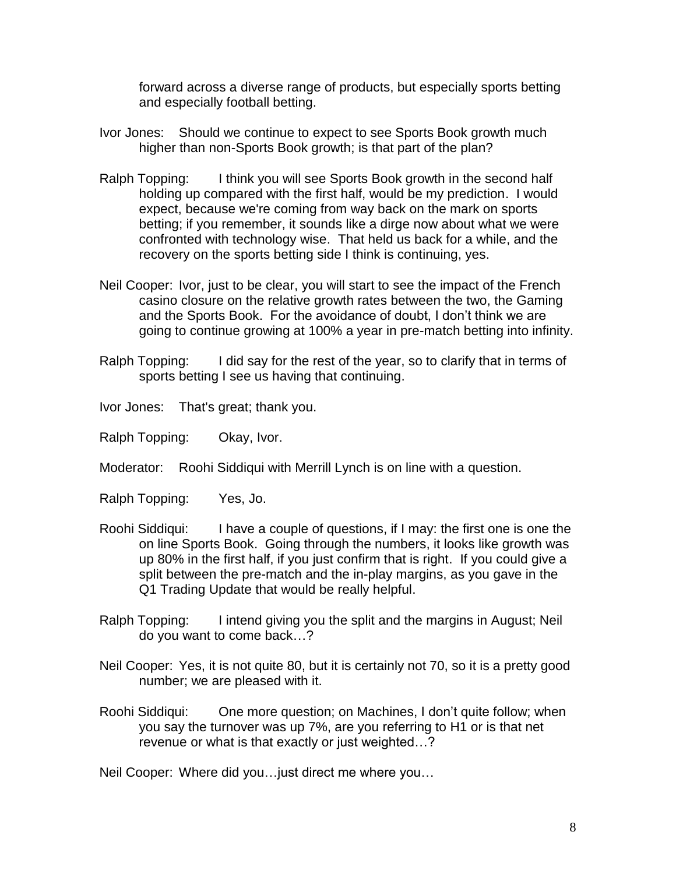forward across a diverse range of products, but especially sports betting and especially football betting.

- Ivor Jones: Should we continue to expect to see Sports Book growth much higher than non-Sports Book growth; is that part of the plan?
- Ralph Topping: I think you will see Sports Book growth in the second half holding up compared with the first half, would be my prediction. I would expect, because we're coming from way back on the mark on sports betting; if you remember, it sounds like a dirge now about what we were confronted with technology wise. That held us back for a while, and the recovery on the sports betting side I think is continuing, yes.
- Neil Cooper: Ivor, just to be clear, you will start to see the impact of the French casino closure on the relative growth rates between the two, the Gaming and the Sports Book. For the avoidance of doubt, I don't think we are going to continue growing at 100% a year in pre-match betting into infinity.
- Ralph Topping: I did say for the rest of the year, so to clarify that in terms of sports betting I see us having that continuing.
- Ivor Jones: That's great; thank you.
- Ralph Topping: Okay, Ivor.
- Moderator: Roohi Siddiqui with Merrill Lynch is on line with a question.
- Ralph Topping: Yes, Jo.
- Roohi Siddiqui: I have a couple of questions, if I may: the first one is one the on line Sports Book. Going through the numbers, it looks like growth was up 80% in the first half, if you just confirm that is right. If you could give a split between the pre-match and the in-play margins, as you gave in the Q1 Trading Update that would be really helpful.
- Ralph Topping: I intend giving you the split and the margins in August; Neil do you want to come back…?
- Neil Cooper: Yes, it is not quite 80, but it is certainly not 70, so it is a pretty good number; we are pleased with it.
- Roohi Siddiqui: One more question; on Machines, I don't quite follow; when you say the turnover was up 7%, are you referring to H1 or is that net revenue or what is that exactly or just weighted…?

Neil Cooper: Where did you…just direct me where you…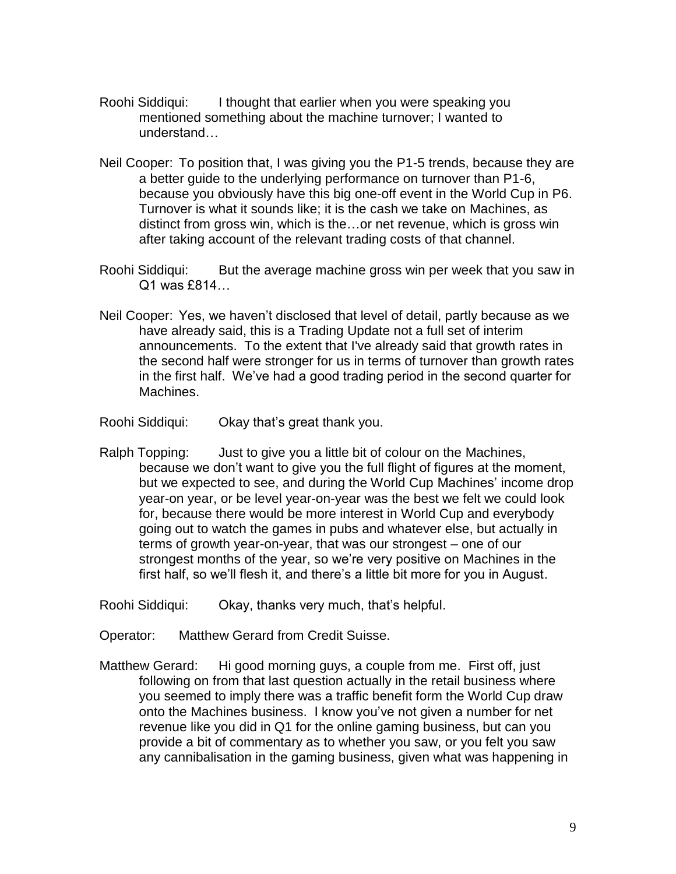- Roohi Siddiqui: I thought that earlier when you were speaking you mentioned something about the machine turnover; I wanted to understand…
- Neil Cooper: To position that, I was giving you the P1-5 trends, because they are a better guide to the underlying performance on turnover than P1-6, because you obviously have this big one-off event in the World Cup in P6. Turnover is what it sounds like; it is the cash we take on Machines, as distinct from gross win, which is the…or net revenue, which is gross win after taking account of the relevant trading costs of that channel.
- Roohi Siddiqui: But the average machine gross win per week that you saw in Q1 was £814…
- Neil Cooper: Yes, we haven't disclosed that level of detail, partly because as we have already said, this is a Trading Update not a full set of interim announcements. To the extent that I've already said that growth rates in the second half were stronger for us in terms of turnover than growth rates in the first half. We've had a good trading period in the second quarter for Machines.

Roohi Siddiqui: Okay that's great thank you.

Ralph Topping: Just to give you a little bit of colour on the Machines, because we don't want to give you the full flight of figures at the moment, but we expected to see, and during the World Cup Machines' income drop year-on year, or be level year-on-year was the best we felt we could look for, because there would be more interest in World Cup and everybody going out to watch the games in pubs and whatever else, but actually in terms of growth year-on-year, that was our strongest – one of our strongest months of the year, so we're very positive on Machines in the first half, so we'll flesh it, and there's a little bit more for you in August.

Roohi Siddiqui: Okay, thanks very much, that's helpful.

Operator: Matthew Gerard from Credit Suisse.

Matthew Gerard: Hi good morning guys, a couple from me. First off, just following on from that last question actually in the retail business where you seemed to imply there was a traffic benefit form the World Cup draw onto the Machines business. I know you've not given a number for net revenue like you did in Q1 for the online gaming business, but can you provide a bit of commentary as to whether you saw, or you felt you saw any cannibalisation in the gaming business, given what was happening in